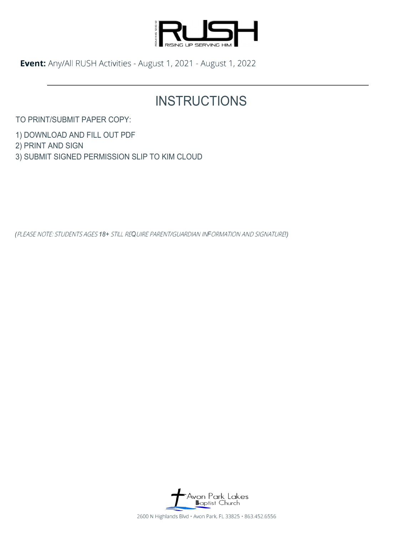

**Event:** Any/All RUSH Activities -August 1, 2021 - August 1, 2022

# **INSTRUCTIONS**

TO PRINT/SUBMIT PAPER COPY:

1) DOWNLOAD AND FILL OUT PDF

2) PRINT AND SIGN

3) SUBMIT SIGNED PERMISSION SLIP TO KIM CLOUD

*(*PLEASE NOTE: STUDENTS AGES *18+* STILL RE*Q*UIRE PARENT/GUARDIAN IN*F*ORMATION AND SIGNATURE*!)*